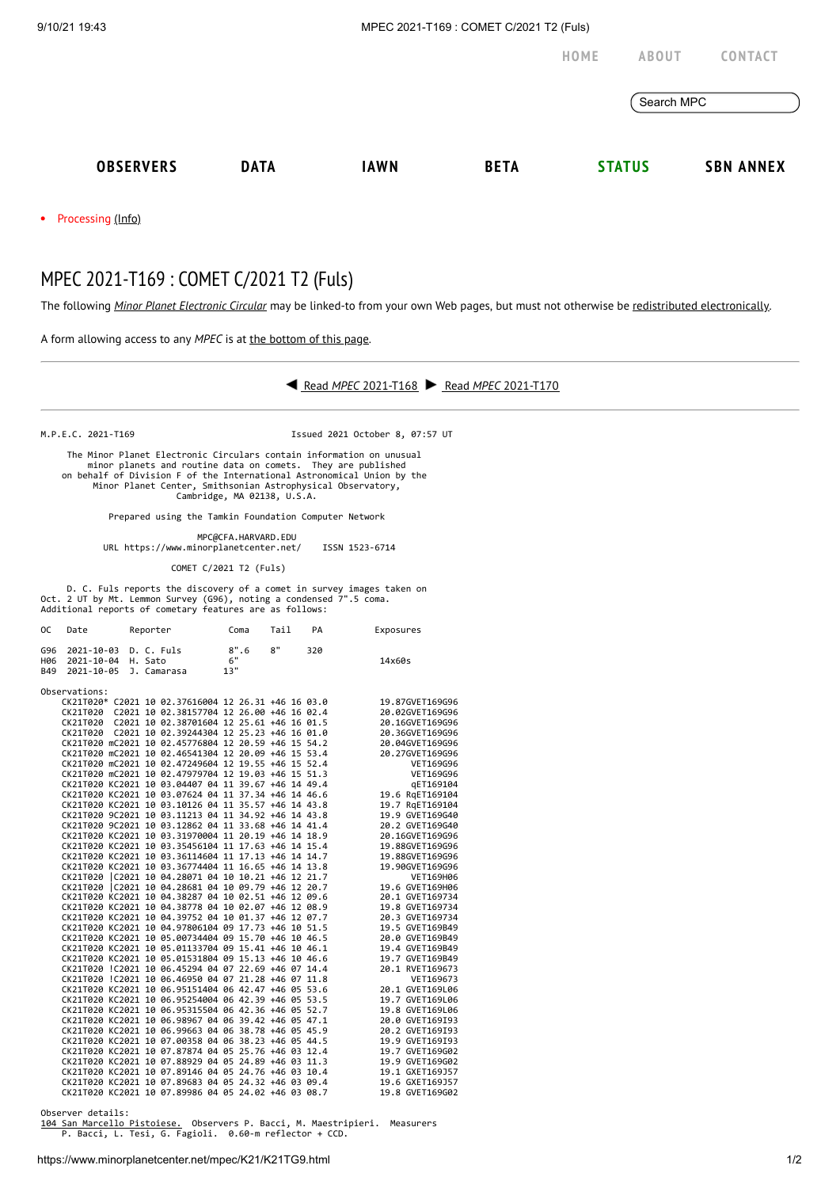9/10/21 19:43 MPEC 2021-T169 : COMET C/2021 T2 (Fuls)

**[HOME](https://www.minorplanetcenter.net/) [ABOUT](https://www.minorplanetcenter.net/about) [CONTACT](https://mpc-service.atlassian.net/servicedesk/customer/portals)** Search MPC **[OBSERVERS](https://www.minorplanetcenter.net/iau/mpc.html) [DATA](https://www.minorplanetcenter.net/data) [IAWN](http://iawn.net/) [BETA](https://minorplanetcenter.net/mpcops/beta/) [STATUS](https://www.minorplanetcenter.net/iau/MPCStatus.html) SBN [ANNEX](https://sbnmpc.astro.umd.edu/)**

Processing [\(Info\)](https://www.minorplanetcenter.net/iau/info/MPCOpStatus.html)  $\bullet$ 

## MPEC 2021-T169 : COMET C/2021 T2 (Fuls)

The following *Minor Planet [Electronic](https://www.minorplanetcenter.net/iau/services/MPEC.html) Circular* may be linked-to from your own Web pages, but must not otherwise be redistributed [electronically](https://www.minorplanetcenter.net/iau/WWWPolicy.html).

A form allowing access to any *MPEC* is at the [bottom](https://www.minorplanetcenter.net/mpec/K19/K21TG9.html#form) of this page.



M.P.E.C. 2021-T169 Issued 2021 October 8, 07:57 UT

 The Minor Planet Electronic Circulars contain information on unusual minor planets and routine data on comets. They are published on behalf of Division F of the International Astronomical Union by the Minor Planet Center, Smithsonian Astrophysical Observatory, Cambridge, MA 02138, U.S.A.

Prepared using the Tamkin Foundation Computer Network

MPC@CFA.HARVARD.EDU

URL https://www.minorplanetcenter.net/ ISSN 1523-6714

COMET C/2021 T2 (Fuls)

D. C. Fuls reports the discovery of a comet in survey images taken on Oct. 2 UT by Mt. Lemmon Survey (G96), noting a condensed 7".5 coma. Additional reports of cometary features are as follows:

| 0C                       | Date                                           | Reporter                                            | Coma              | Tail | PA  | Exposures       |
|--------------------------|------------------------------------------------|-----------------------------------------------------|-------------------|------|-----|-----------------|
| G96<br><b>H06</b><br>B49 | 2021-10-03<br>2021-10-04 H. Sato<br>2021-10-05 | D. C. Fuls<br>J. Camarasa                           | 8".6<br>6"<br>13" | 8"   | 320 | 14x60s          |
|                          |                                                |                                                     |                   |      |     |                 |
|                          | Observations:                                  |                                                     |                   |      |     |                 |
|                          |                                                | CK21T020* C2021 10 02.37616004 12 26.31 +46 16 03.0 |                   |      |     | 19.87GVET169G96 |
|                          |                                                | CK21T020 C2021 10 02.38157704 12 26.00 +46 16 02.4  |                   |      |     | 20.02GVET169G96 |
|                          |                                                | CK21T020 C2021 10 02.38701604 12 25.61 +46 16 01.5  |                   |      |     | 20.16GVET169G96 |
|                          |                                                | CK21T020 C2021 10 02.39244304 12 25.23 +46 16 01.0  |                   |      |     | 20.36GVET169G96 |
|                          |                                                | CK21T020 mC2021 10 02.45776804 12 20.59 +46 15 54.2 |                   |      |     | 20.04GVET169G96 |
|                          |                                                | CK21T020 mC2021 10 02.46541304 12 20.09 +46 15 53.4 |                   |      |     | 20.27GVET169G96 |
|                          |                                                | CK21T020 mC2021 10 02.47249604 12 19.55 +46 15 52.4 |                   |      |     | VET169G96       |
|                          |                                                | CK21T020 mC2021 10 02.47979704 12 19.03 +46 15 51.3 |                   |      |     | VET169G96       |
|                          |                                                | CK21T020 KC2021 10 03.04407 04 11 39.67 +46 14 49.4 |                   |      |     | qET169104       |
|                          |                                                | CK21T020 KC2021 10 03.07624 04 11 37.34 +46 14 46.6 |                   |      |     | 19.6 RgET169104 |
|                          |                                                | CK21T020 KC2021 10 03.10126 04 11 35.57 +46 14 43.8 |                   |      |     | 19.7 RgET169104 |
|                          |                                                | CK21T020 9C2021 10 03.11213 04 11 34.92 +46 14 43.8 |                   |      |     | 19.9 GVET169G40 |
|                          |                                                | CK21T020 9C2021 10 03.12862 04 11 33.68 +46 14 41.4 |                   |      |     | 20.2 GVET169G40 |
|                          |                                                | CK21T020 KC2021 10 03.31970004 11 20.19 +46 14 18.9 |                   |      |     | 20.16GVET169G96 |
|                          |                                                | CK21T020 KC2021 10 03.35456104 11 17.63 +46 14 15.4 |                   |      |     | 19.88GVET169G96 |
|                          |                                                | CK21T020 KC2021 10 03.36114604 11 17.13 +46 14 14.7 |                   |      |     | 19.88GVET169G96 |
|                          |                                                | CK21T020 KC2021 10 03.36774404 11 16.65 +46 14 13.8 |                   |      |     | 19.90GVET169G96 |
|                          |                                                | CK21T020 C2021 10 04.28071 04 10 10.21 +46 12 21.7  |                   |      |     | VET169H06       |
|                          |                                                | CK21T020 C2021 10 04.28681 04 10 09.79 +46 12 20.7  |                   |      |     | 19.6 GVET169H06 |
|                          |                                                | CK21T020 KC2021 10 04.38287 04 10 02.51 +46 12 09.6 |                   |      |     | 20.1 GVET169734 |
|                          |                                                | CK21T020 KC2021 10 04.38778 04 10 02.07 +46 12 08.9 |                   |      |     | 19.8 GVET169734 |
|                          |                                                | CK21T020 KC2021 10 04.39752 04 10 01.37 +46 12 07.7 |                   |      |     | 20.3 GVET169734 |
|                          |                                                | CK21T020 KC2021 10 04.97806104 09 17.73 +46 10 51.5 |                   |      |     | 19.5 GVET169B49 |
|                          |                                                | CK21T020 KC2021 10 05.00734404 09 15.70 +46 10 46.5 |                   |      |     | 20.0 GVET169B49 |
|                          |                                                | CK21T020 KC2021 10 05.01133704 09 15.41 +46 10 46.1 |                   |      |     | 19.4 GVET169B49 |
|                          |                                                | CK21T020 KC2021 10 05.01531804 09 15.13 +46 10 46.6 |                   |      |     | 19.7 GVET169B49 |
|                          |                                                | CK21T020 !C2021 10 06.45294 04 07 22.69 +46 07 14.4 |                   |      |     | 20.1 RVET169673 |
|                          |                                                | CK21T020 !C2021 10 06.46950 04 07 21.28 +46 07 11.8 |                   |      |     | VET169673       |
|                          |                                                | CK21T020 KC2021 10 06.95151404 06 42.47 +46 05 53.6 |                   |      |     | 20.1 GVET169L06 |
|                          |                                                | CK21T020 KC2021 10 06.95254004 06 42.39 +46 05 53.5 |                   |      |     | 19.7 GVET169L06 |
|                          |                                                | CK21T020 KC2021 10 06.95315504 06 42.36 +46 05 52.7 |                   |      |     | 19.8 GVET169L06 |
|                          |                                                | CK21T020 KC2021 10 06.98967 04 06 39.42 +46 05 47.1 |                   |      |     | 20.0 GVET169I93 |
|                          |                                                | CK21T020 KC2021 10 06.99663 04 06 38.78 +46 05 45.9 |                   |      |     | 20.2 GVET169I93 |
|                          |                                                | CK21T020 KC2021 10 07.00358 04 06 38.23 +46 05 44.5 |                   |      |     | 19.9 GVET169I93 |
|                          |                                                | CK21T020 KC2021 10 07.87874 04 05 25.76 +46 03 12.4 |                   |      |     | 19.7 GVET169G02 |
|                          |                                                | CK21T020 KC2021 10 07.88929 04 05 24.89 +46 03 11.3 |                   |      |     | 19.9 GVET169G02 |
|                          |                                                | CK21T020 KC2021 10 07.89146 04 05 24.76 +46 03 10.4 |                   |      |     | 19.1 GXET169J57 |
|                          |                                                | CK21T020 KC2021 10 07.89683 04 05 24.32 +46 03 09.4 |                   |      |     | 19.6 GXET169J57 |
|                          |                                                | CK21T020 KC2021 10 07.89986 04 05 24.02 +46 03 08.7 |                   |      |     | 19.8 GVET169G02 |
|                          |                                                |                                                     |                   |      |     |                 |

Observer details:

[104 San Marcello Pistoiese.](http://www.gamp-pt.net/) Observers P. Bacci, M. Maestripieri. Measurers P. Bacci, L. Tesi, G. Fagioli. 0.60-m reflector + CCD.